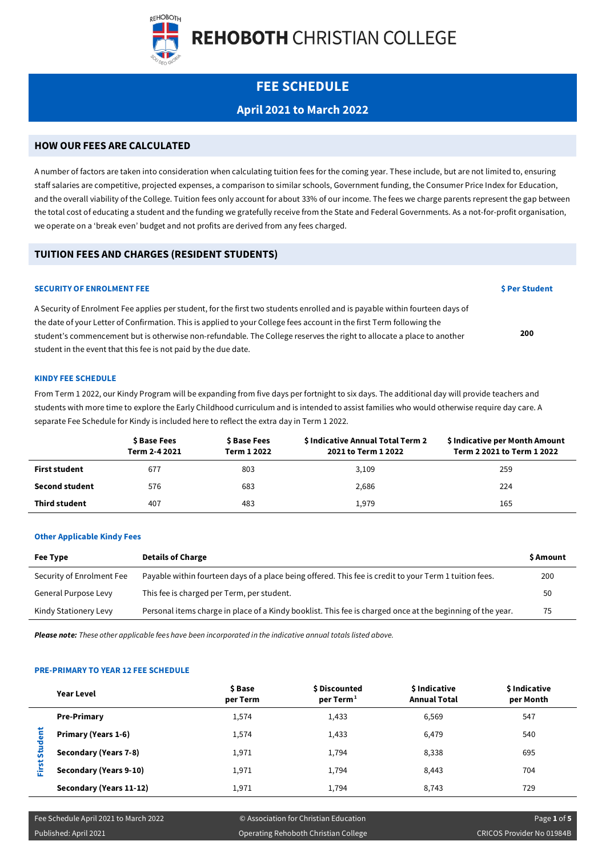

# **FEE SCHEDULE**

# **April 2021 to March 2022**

# **HOW OUR FEES ARE CALCULATED**

A number of factors are taken into consideration when calculating tuition fees for the coming year. These include, but are not limited to, ensuring staff salaries are competitive, projected expenses, a comparison to similar schools, Government funding, the Consumer Price Index for Education, and the overall viability of the College. Tuition fees only account for about 33% of our income. The fees we charge parents represent the gap between the total cost of educating a student and the funding we gratefully receive from the State and Federal Governments. As a not-for-profit organisation, we operate on a 'break even' budget and not profits are derived from any fees charged.

# **TUITION FEES AND CHARGES (RESIDENT STUDENTS)**

# **SECURITY OF ENROLMENT FEE \$** Per Student

A Security of Enrolment Fee applies per student, for the first two students enrolled and is payable within fourteen days of the date of your Letter of Confirmation. This is applied to your College fees account in the first Term following the student's commencement but is otherwise non-refundable. The College reserves the right to allocate a place to another student in the event that this fee is not paid by the due date.

# **KINDY FEE SCHEDULE**

From Term 1 2022, our Kindy Program will be expanding from five days per fortnight to six days. The additional day will provide teachers and students with more time to explore the Early Childhood curriculum and is intended to assist families who would otherwise require day care. A separate Fee Schedule for Kindy is included here to reflect the extra day in Term 1 2022.

|                       | \$ Base Fees<br>Term 2-4 2021 | \$ Base Fees<br>Term 1 2022 | \$ Indicative Annual Total Term 2<br>2021 to Term 1 2022 | \$ Indicative per Month Amount<br>Term 2 2021 to Term 1 2022 |
|-----------------------|-------------------------------|-----------------------------|----------------------------------------------------------|--------------------------------------------------------------|
| First student         | 677                           | 803                         | 3,109                                                    | 259                                                          |
| <b>Second student</b> | 576                           | 683                         | 2,686                                                    | 224                                                          |
| <b>Third student</b>  | 407                           | 483                         | 1.979                                                    | 165                                                          |

# **Other Applicable Kindy Fees**

| Fee Type                  | <b>Details of Charge</b>                                                                                   | <b>S</b> Amount |
|---------------------------|------------------------------------------------------------------------------------------------------------|-----------------|
| Security of Enrolment Fee | Payable within fourteen days of a place being offered. This fee is credit to your Term 1 tuition fees.     | 200             |
| General Purpose Levy      | This fee is charged per Term, per student.                                                                 | 50              |
| Kindy Stationery Levy     | Personal items charge in place of a Kindy booklist. This fee is charged once at the beginning of the year. | 75              |

*Please note: These other applicable fees have been incorporated in the indicative annual totals listed above.*

# **PRE-PRIMARY TO YEAR 12 FEE SCHEDULE**

|          | Year Level              | \$Base<br>per Term | \$ Discounted<br>per Term <sup>1</sup> | <b>S</b> Indicative<br><b>Annual Total</b> | \$ Indicative<br>per Month |
|----------|-------------------------|--------------------|----------------------------------------|--------------------------------------------|----------------------------|
|          | <b>Pre-Primary</b>      | 1,574              | 1,433                                  | 6,569                                      | 547                        |
| Student  | Primary (Years 1-6)     | 1,574              | 1,433                                  | 6,479                                      | 540                        |
|          | Secondary (Years 7-8)   | 1,971              | 1,794                                  | 8,338                                      | 695                        |
| rst<br>罡 | Secondary (Years 9-10)  | 1,971              | 1,794                                  | 8,443                                      | 704                        |
|          | Secondary (Years 11-12) | 1,971              | 1,794                                  | 8,743                                      | 729                        |

Published: April 2021 Operating Rehoboth Christian College CRICOS Provider No 01984B

**200**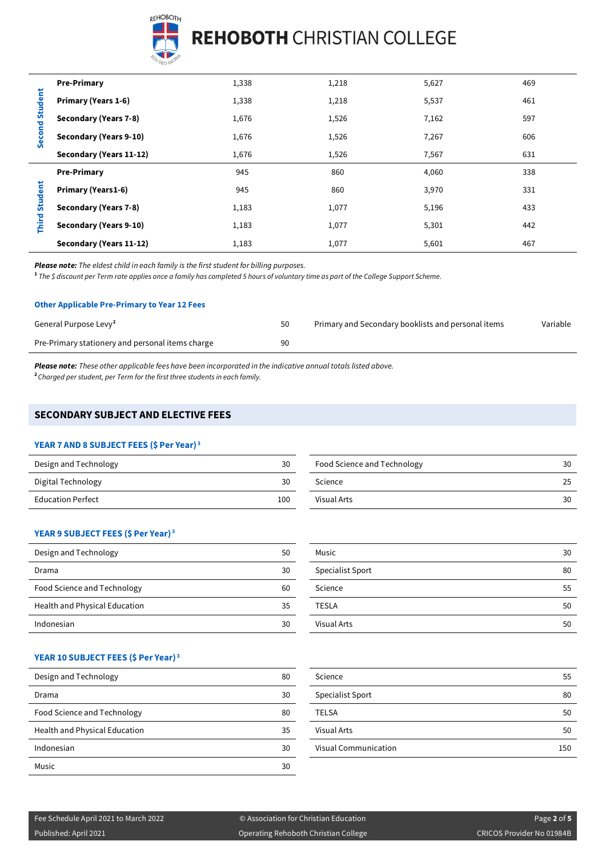

| Second Student | <b>Pre-Primary</b>        | 1,338 | 1,218 | 5,627 | 469 |
|----------------|---------------------------|-------|-------|-------|-----|
|                | Primary (Years 1-6)       | 1,338 | 1,218 | 5,537 | 461 |
|                | Secondary (Years 7-8)     | 1,676 | 1,526 | 7,162 | 597 |
|                | Secondary (Years 9-10)    | 1,676 | 1,526 | 7,267 | 606 |
|                | Secondary (Years 11-12)   | 1,676 | 1,526 | 7,567 | 631 |
|                | <b>Pre-Primary</b>        | 945   | 860   | 4,060 | 338 |
| Student        | <b>Primary (Years1-6)</b> | 945   | 860   | 3,970 | 331 |
|                | Secondary (Years 7-8)     | 1,183 | 1,077 | 5,196 | 433 |
| Third:         | Secondary (Years 9-10)    | 1,183 | 1,077 | 5,301 | 442 |
|                | Secondary (Years 11-12)   | 1,183 | 1,077 | 5,601 | 467 |

*Please note: The eldest child in each family is the first student for billing purposes.*

**<sup>1</sup>** *The \$ discount per Term rate applies once a family has completed 5 hours of voluntary time as part of the College Support Scheme.*

#### **Other Applicable Pre-Primary to Year 12 Fees**

| General Purpose Levy <sup>2</sup>                | 50 | Primary and Secondary booklists and personal items | Variable |
|--------------------------------------------------|----|----------------------------------------------------|----------|
| Pre-Primary stationery and personal items charge | 90 |                                                    |          |

*Please note: These other applicable fees have been incorporated in the indicative annual totals listed above.* **<sup>2</sup>***Charged per student, per Term for the first three students in each family.*

# **SECONDARY SUBJECT AND ELECTIVE FEES**

# **YEAR 7 AND 8 SUBJECT FEES (\$ Per Year) <sup>3</sup>**

| Design and Technology    | 30  |
|--------------------------|-----|
| Digital Technology       | 30  |
| <b>Education Perfect</b> | 100 |

| Design and Technology    | 30  | Food Science and Technology | 30 |
|--------------------------|-----|-----------------------------|----|
| Digital Technology       | 30  | Science                     | 25 |
| <b>Education Perfect</b> | 100 | Visual Arts                 | 30 |

# **YEAR 9 SUBJECT FEES (\$ Per Year) <sup>3</sup>**

| Design and Technology         | 50 |
|-------------------------------|----|
| Drama                         | 30 |
| Food Science and Technology   | 60 |
| Health and Physical Education | 35 |
| Indonesian                    | 30 |

| Design and Technology         | 50 | Music            | 30 |
|-------------------------------|----|------------------|----|
| Drama                         | 30 | Specialist Sport | 80 |
| Food Science and Technology   | 60 | Science          | 55 |
| Health and Physical Education | 35 | TESLA            | 50 |
| Indonesian                    | 30 | Visual Arts      | 50 |

# **YEAR 10 SUBJECT FEES (\$ Per Year) <sup>3</sup>**

| Design and Technology         | 80 | Science                     | 55              |
|-------------------------------|----|-----------------------------|-----------------|
| Drama                         | 30 | Specialist Sport            | 80              |
| Food Science and Technology   | 80 | <b>TELSA</b>                | 50              |
| Health and Physical Education | 35 | <b>Visual Arts</b>          | 50              |
| Indonesian                    | 30 | <b>Visual Communication</b> | 15 <sub>C</sub> |
| Music                         | 30 |                             |                 |

| Science                     | 55  |
|-----------------------------|-----|
| <b>Specialist Sport</b>     | 80  |
| <b>TELSA</b>                | 50  |
| <b>Visual Arts</b>          | 50  |
| <b>Visual Communication</b> | 150 |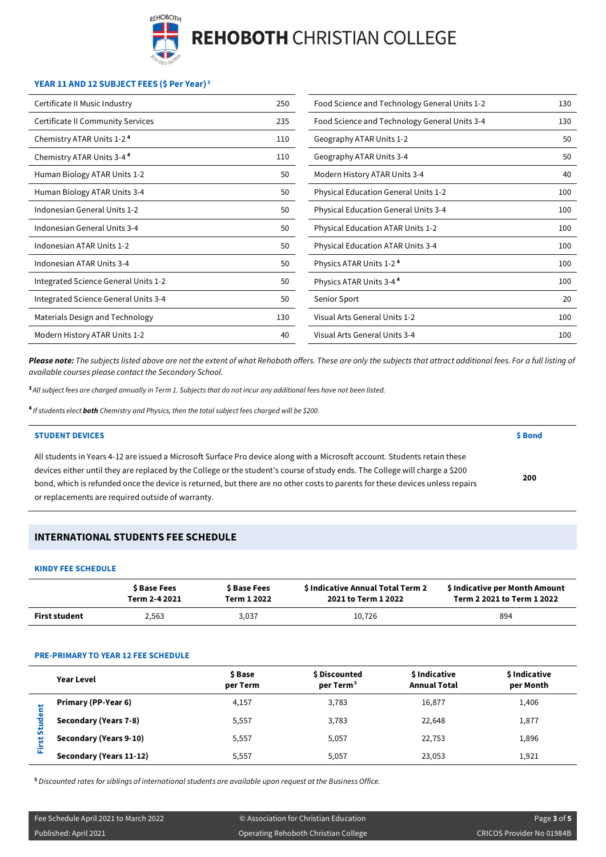

# **YEAR 11 AND 12 SUBJECT FEES (\$ Per Year) <sup>3</sup>**

| Certificate II Music Industry            | 250 | Food Science and Technology General Units 1-2 | 130 |
|------------------------------------------|-----|-----------------------------------------------|-----|
| <b>Certificate II Community Services</b> | 235 | Food Science and Technology General Units 3-4 | 130 |
| Chemistry ATAR Units 1-2 <sup>4</sup>    | 110 | Geography ATAR Units 1-2                      | 50  |
| Chemistry ATAR Units 3-4 <sup>4</sup>    | 110 | Geography ATAR Units 3-4                      | 50  |
| Human Biology ATAR Units 1-2             | 50  | Modern History ATAR Units 3-4                 | 40  |
| Human Biology ATAR Units 3-4             | 50  | Physical Education General Units 1-2          | 100 |
| Indonesian General Units 1-2             | 50  | <b>Physical Education General Units 3-4</b>   | 100 |
| Indonesian General Units 3-4             | 50  | <b>Physical Education ATAR Units 1-2</b>      | 100 |
| Indonesian ATAR Units 1-2                | 50  | <b>Physical Education ATAR Units 3-4</b>      | 100 |
| Indonesian ATAR Units 3-4                | 50  | Physics ATAR Units 1-2 <sup>4</sup>           | 100 |
| Integrated Science General Units 1-2     | 50  | Physics ATAR Units 3-4 <sup>4</sup>           | 100 |
| Integrated Science General Units 3-4     | 50  | Senior Sport                                  | 20  |
| Materials Design and Technology          | 130 | Visual Arts General Units 1-2                 | 100 |
| Modern History ATAR Units 1-2            | 40  | Visual Arts General Units 3-4                 | 100 |

*Please note: The subjects listed above are not the extent of what Rehoboth offers. These are only the subjects that attract additional fees. For a full listing of available courses please contact the Secondary School.*

**<sup>3</sup>** *All subject fees are charged annually in Term 1. Subjects that do not incur any additional fees have not been listed.*

**<sup>4</sup>***If students elect both Chemistry and Physics, then the total subject fees charged will be \$200.*

#### **STUDENT DEVICES \$ Bond**

| All students in Years 4-12 are issued a Microsoft Surface Pro device along with a Microsoft account. Students retain these    |     |
|-------------------------------------------------------------------------------------------------------------------------------|-----|
| devices either until they are replaced by the College or the student's course of study ends. The College will charge a \$200  |     |
| bond, which is refunded once the device is returned, but there are no other costs to parents for these devices unless repairs | 200 |
| or replacements are required outside of warranty.                                                                             |     |

# **INTERNATIONAL STUDENTS FEE SCHEDULE**

#### **KINDY FEE SCHEDULE**

|                      | \$ Base Fees  | \$ Base Fees | \$ Indicative Annual Total Term 2 | \$ Indicative per Month Amount |
|----------------------|---------------|--------------|-----------------------------------|--------------------------------|
|                      | Term 2-4 2021 | Term 1 2022  | 2021 to Term 1 2022               | Term 2 2021 to Term 1 2022     |
| <b>First student</b> | 2.563         | 3,037        | 10.726                            | 894                            |

# **PRE-PRIMARY TO YEAR 12 FEE SCHEDULE**

|               | Year Level              | \$ Base<br>per Term | \$ Discounted<br>per Term <sup>5</sup> | \$ Indicative<br><b>Annual Total</b> | \$ Indicative<br>per Month |
|---------------|-------------------------|---------------------|----------------------------------------|--------------------------------------|----------------------------|
| ٣<br>û<br>ïī. | Primary (PP-Year 6)     | 4,157               | 3.783                                  | 16,877                               | 1,406                      |
|               | Secondary (Years 7-8)   | 5,557               | 3,783                                  | 22,648                               | 1,877                      |
|               | Secondary (Years 9-10)  | 5,557               | 5,057                                  | 22,753                               | 1,896                      |
|               | Secondary (Years 11-12) | 5,557               | 5.057                                  | 23.053                               | 1,921                      |

**<sup>5</sup>** *Discounted rates for siblings of international students are available upon request at the Business Office.*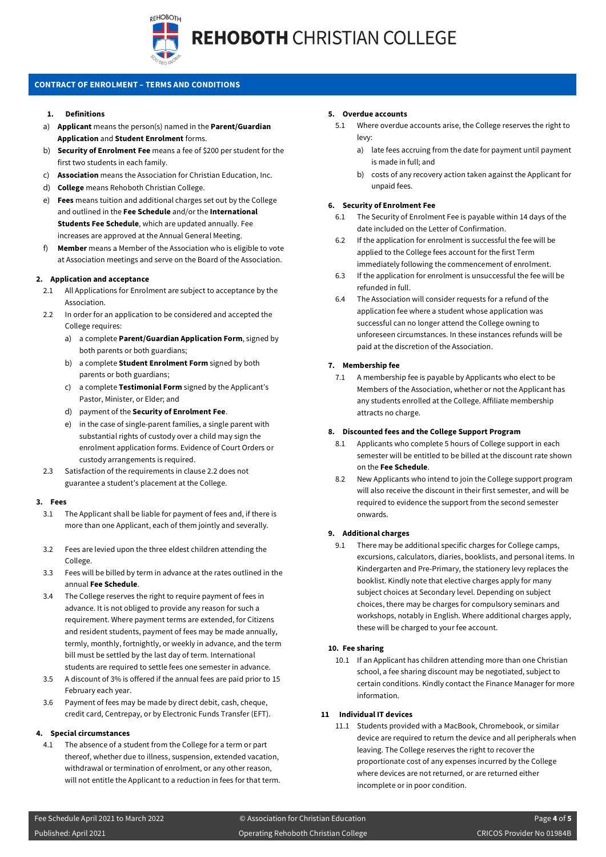

# **CONTRACT OF ENROLMENT – TERMS AND CONDITIONS**

#### **1. Definitions**

- a) **Applicant** means the person(s) named in the **Parent/Guardian Application** and **Student Enrolment** forms.
- b) **Security of Enrolment Fee** means a fee of \$200 per student for the first two students in each family.
- c) **Association** means the Association for Christian Education, Inc.
- d) **College** means Rehoboth Christian College.
- e) **Fees** means tuition and additional charges set out by the College and outlined in the **Fee Schedule** and/or the **International Students Fee Schedule**, which are updated annually. Fee increases are approved at the Annual General Meeting.
- Member means a Member of the Association who is eligible to vote at Association meetings and serve on the Board of the Association.

# **2. Application and acceptance**

- 2.1 All Applications for Enrolment are subject to acceptance by the Association.
- 2.2 In order for an application to be considered and accepted the College requires:
	- a) a complete **Parent/Guardian Application Form**, signed by both parents or both guardians;
	- b) a complete **Student Enrolment Form** signed by both parents or both guardians;
	- c) a complete **Testimonial Form** signed by the Applicant's Pastor, Minister, or Elder; and
	- d) payment of the **Security of Enrolment Fee**.
	- e) in the case of single-parent families, a single parent with substantial rights of custody over a child may sign the enrolment application forms. Evidence of Court Orders or custody arrangements is required.
- 2.3 Satisfaction of the requirements in clause 2.2 does not guarantee a student's placement at the College.

#### **3. Fees**

- 3.1 The Applicant shall be liable for payment of fees and, if there is more than one Applicant, each of them jointly and severally.
- 3.2 Fees are levied upon the three eldest children attending the College.
- 3.3 Fees will be billed by term in advance at the rates outlined in the annual **Fee Schedule**.
- 3.4 The College reserves the right to require payment of fees in advance. It is not obliged to provide any reason for such a requirement. Where payment terms are extended, for Citizens and resident students, payment of fees may be made annually, termly, monthly, fortnightly, or weekly in advance, and the term bill must be settled by the last day of term. International students are required to settle fees one semester in advance.
- 3.5 A discount of 3% is offered if the annual fees are paid prior to 15 February each year.
- 3.6 Payment of fees may be made by direct debit, cash, cheque, credit card, Centrepay, or by Electronic Funds Transfer (EFT).

# **4. Special circumstances**

4.1 The absence of a student from the College for a term or part thereof, whether due to illness, suspension, extended vacation, withdrawal or termination of enrolment, or any other reason, will not entitle the Applicant to a reduction in fees for that term.

#### **5. Overdue accounts**

- 5.1 Where overdue accounts arise, the College reserves the right to levy:
	- a) late fees accruing from the date for payment until payment is made in full; and
	- b) costs of any recovery action taken against the Applicant for unpaid fees.

# **6. Security of Enrolment Fee**

- 6.1 The Security of Enrolment Fee is payable within 14 days of the date included on the Letter of Confirmation.
- 6.2 If the application for enrolment is successful the fee will be applied to the College fees account for the first Term immediately following the commencement of enrolment.
- 6.3 If the application for enrolment is unsuccessful the fee will be refunded in full.
- 6.4 The Association will consider requests for a refund of the application fee where a student whose application was successful can no longer attend the College owning to unforeseen circumstances. In these instances refunds will be paid at the discretion of the Association.

# **7. Membership fee**

7.1 A membership fee is payable by Applicants who elect to be Members of the Association, whether or not the Applicant has any students enrolled at the College. Affiliate membership attracts no charge.

# **8. Discounted fees and the College Support Program**

- 8.1 Applicants who complete 5 hours of College support in each semester will be entitled to be billed at the discount rate shown on the **Fee Schedule**.
- 8.2 New Applicants who intend to join the College support program will also receive the discount in their first semester, and will be required to evidence the support from the second semester onwards.

# **9. Additional charges**

9.1 There may be additional specific charges for College camps, excursions, calculators, diaries, booklists, and personal items. In Kindergarten and Pre-Primary, the stationery levy replaces the booklist. Kindly note that elective charges apply for many subject choices at Secondary level. Depending on subject choices, there may be charges for compulsory seminars and workshops, notably in English. Where additional charges apply, these will be charged to your fee account.

# **10. Fee sharing**

10.1 If an Applicant has children attending more than one Christian school, a fee sharing discount may be negotiated, subject to certain conditions. Kindly contact the Finance Manager for more information.

# **11 Individual IT devices**

11.1 Students provided with a MacBook, Chromebook, or similar device are required to return the device and all peripherals when leaving. The College reserves the right to recover the proportionate cost of any expenses incurred by the College where devices are not returned, or are returned either incomplete or in poor condition.